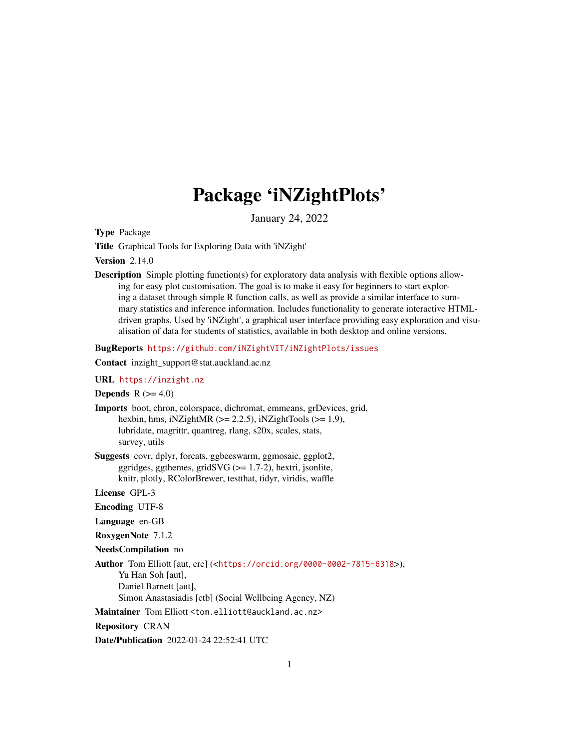# Package 'iNZightPlots'

January 24, 2022

Type Package

Title Graphical Tools for Exploring Data with 'iNZight'

**Version** 2.14.0

Description Simple plotting function(s) for exploratory data analysis with flexible options allowing for easy plot customisation. The goal is to make it easy for beginners to start exploring a dataset through simple R function calls, as well as provide a similar interface to summary statistics and inference information. Includes functionality to generate interactive HTMLdriven graphs. Used by 'iNZight', a graphical user interface providing easy exploration and visualisation of data for students of statistics, available in both desktop and online versions.

BugReports <https://github.com/iNZightVIT/iNZightPlots/issues>

Contact inzight\_support@stat.auckland.ac.nz

# URL <https://inzight.nz>

**Depends**  $R$  ( $>= 4.0$ )

- Imports boot, chron, colorspace, dichromat, emmeans, grDevices, grid, hexbin, hms, iNZightMR  $(>= 2.2.5)$ , iNZightTools  $(>= 1.9)$ , lubridate, magrittr, quantreg, rlang, s20x, scales, stats, survey, utils
- Suggests covr, dplyr, forcats, ggbeeswarm, ggmosaic, ggplot2, ggridges, ggthemes, grid $SVG$  ( $>= 1.7-2$ ), hextri, jsonlite, knitr, plotly, RColorBrewer, testthat, tidyr, viridis, waffle

License GPL-3

- Encoding UTF-8
- Language en-GB

RoxygenNote 7.1.2

NeedsCompilation no

Author Tom Elliott [aut, cre] (<<https://orcid.org/0000-0002-7815-6318>>), Yu Han Soh [aut], Daniel Barnett [aut], Simon Anastasiadis [ctb] (Social Wellbeing Agency, NZ)

Maintainer Tom Elliott <tom.elliott@auckland.ac.nz>

Repository CRAN

Date/Publication 2022-01-24 22:52:41 UTC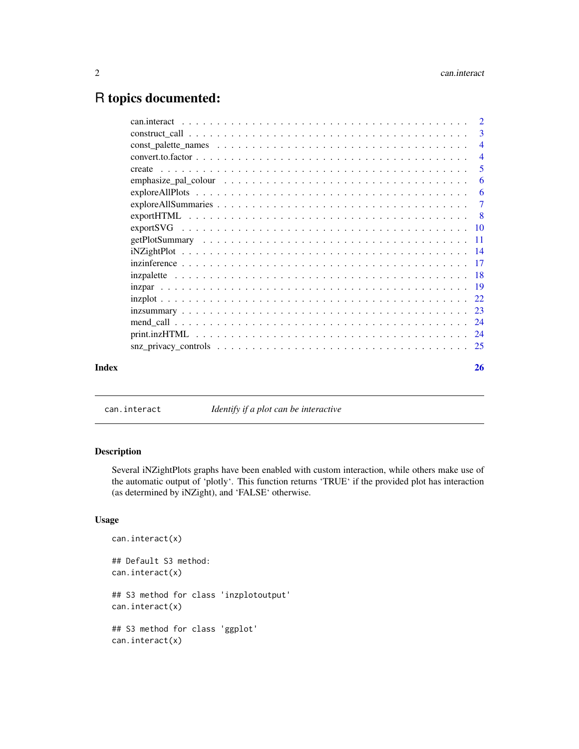# <span id="page-1-0"></span>R topics documented:

| Index | 26                         |
|-------|----------------------------|
|       |                            |
|       |                            |
|       |                            |
|       |                            |
|       |                            |
|       |                            |
|       |                            |
|       |                            |
|       |                            |
|       |                            |
|       |                            |
|       |                            |
|       |                            |
|       |                            |
|       | -6                         |
|       | $\overline{\phantom{0}}$ 5 |
|       |                            |
|       | $\overline{4}$             |
|       | $\overline{\mathbf{3}}$    |
|       |                            |

can.interact *Identify if a plot can be interactive*

# Description

Several iNZightPlots graphs have been enabled with custom interaction, while others make use of the automatic output of 'plotly'. This function returns 'TRUE' if the provided plot has interaction (as determined by iNZight), and 'FALSE' otherwise.

# Usage

```
can.interact(x)
## Default S3 method:
can.interact(x)
## S3 method for class 'inzplotoutput'
can.interact(x)
## S3 method for class 'ggplot'
can.interact(x)
```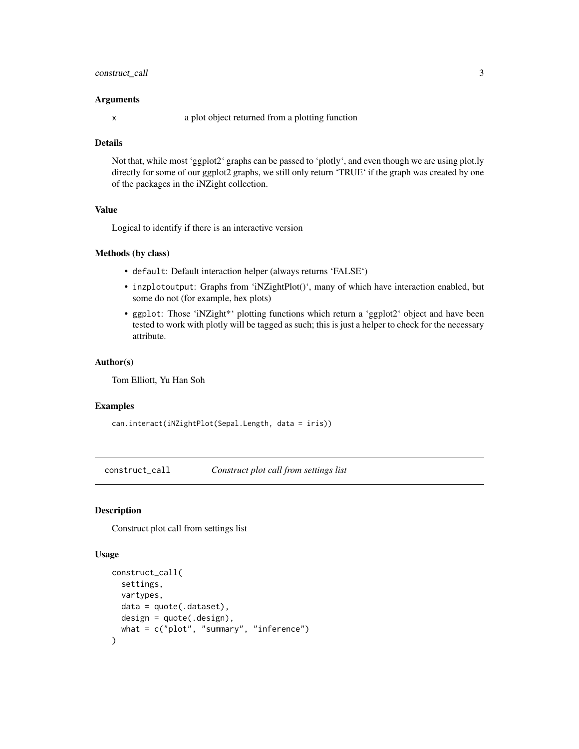# <span id="page-2-0"></span>construct\_call 3

#### Arguments

x a plot object returned from a plotting function

#### **Details**

Not that, while most 'ggplot2' graphs can be passed to 'plotly', and even though we are using plot.ly directly for some of our ggplot2 graphs, we still only return 'TRUE' if the graph was created by one of the packages in the iNZight collection.

#### Value

Logical to identify if there is an interactive version

#### Methods (by class)

- default: Default interaction helper (always returns 'FALSE')
- inzplotoutput: Graphs from 'iNZightPlot()', many of which have interaction enabled, but some do not (for example, hex plots)
- ggplot: Those 'iNZight\*' plotting functions which return a 'ggplot2' object and have been tested to work with plotly will be tagged as such; this is just a helper to check for the necessary attribute.

#### Author(s)

Tom Elliott, Yu Han Soh

#### Examples

```
can.interact(iNZightPlot(Sepal.Length, data = iris))
```
construct\_call *Construct plot call from settings list*

# Description

Construct plot call from settings list

#### Usage

```
construct_call(
  settings,
  vartypes,
  data = quote(.dataset),
  design = quote(.design),
  what = c("plot", "summary", "inference")
)
```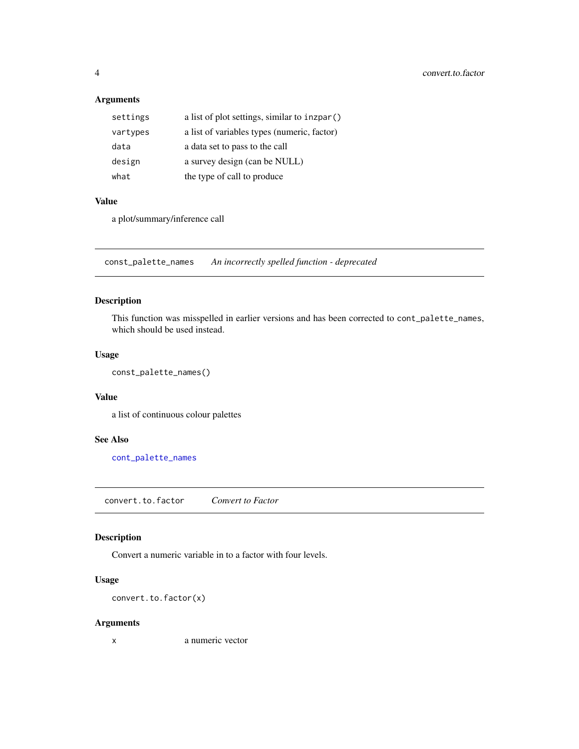# Arguments

| settings | a list of plot settings, similar to inzpar() |
|----------|----------------------------------------------|
| vartypes | a list of variables types (numeric, factor)  |
| data     | a data set to pass to the call               |
| design   | a survey design (can be NULL)                |
| what     | the type of call to produce                  |

#### Value

a plot/summary/inference call

const\_palette\_names *An incorrectly spelled function - deprecated*

# Description

This function was misspelled in earlier versions and has been corrected to cont\_palette\_names, which should be used instead.

# Usage

```
const_palette_names()
```
#### Value

a list of continuous colour palettes

#### See Also

[cont\\_palette\\_names](#page-17-1)

convert.to.factor *Convert to Factor*

# Description

Convert a numeric variable in to a factor with four levels.

# Usage

convert.to.factor(x)

# Arguments

x a numeric vector

<span id="page-3-0"></span>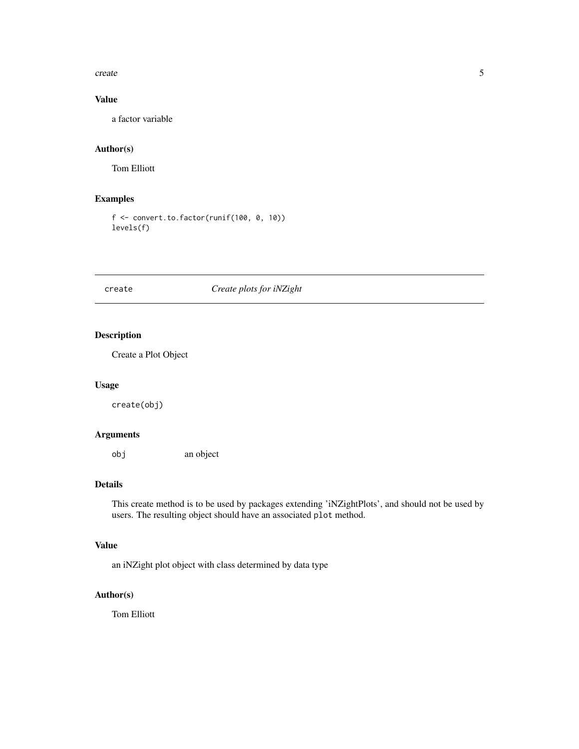#### <span id="page-4-0"></span>create 5

# Value

a factor variable

# Author(s)

Tom Elliott

# Examples

```
f <- convert.to.factor(runif(100, 0, 10))
levels(f)
```
# create *Create plots for iNZight*

# Description

Create a Plot Object

# Usage

create(obj)

# Arguments

obj an object

# Details

This create method is to be used by packages extending 'iNZightPlots', and should not be used by users. The resulting object should have an associated plot method.

#### Value

an iNZight plot object with class determined by data type

# Author(s)

Tom Elliott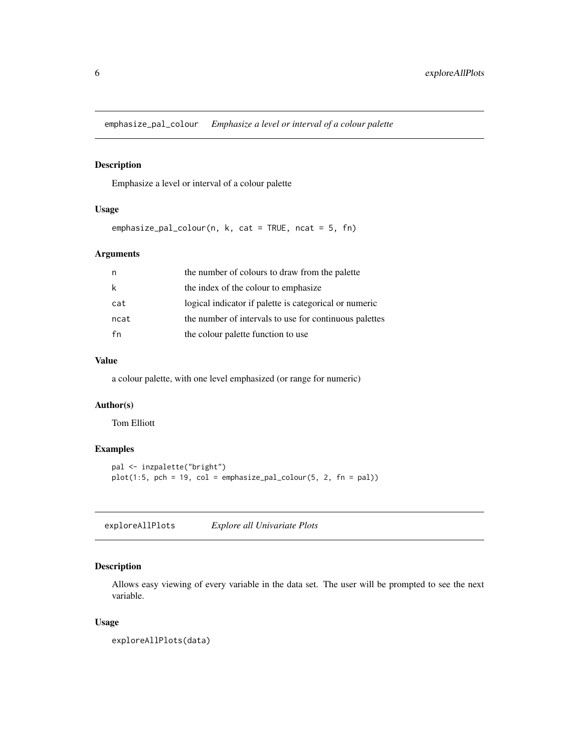<span id="page-5-0"></span>emphasize\_pal\_colour *Emphasize a level or interval of a colour palette*

# Description

Emphasize a level or interval of a colour palette

# Usage

```
emphasize_pal_colour(n, k, cat = TRUE, ncat = 5, fn)
```
#### Arguments

|      | the number of colours to draw from the palette         |
|------|--------------------------------------------------------|
|      | the index of the colour to emphasize                   |
| cat  | logical indicator if palette is categorical or numeric |
| ncat | the number of intervals to use for continuous palettes |
| fn   | the colour palette function to use                     |

#### Value

a colour palette, with one level emphasized (or range for numeric)

#### Author(s)

Tom Elliott

### Examples

```
pal <- inzpalette("bright")
plot(1:5, pch = 19, col = emphasize_pal_colour(5, 2, fn = pal))
```
exploreAllPlots *Explore all Univariate Plots*

# Description

Allows easy viewing of every variable in the data set. The user will be prompted to see the next variable.

#### Usage

exploreAllPlots(data)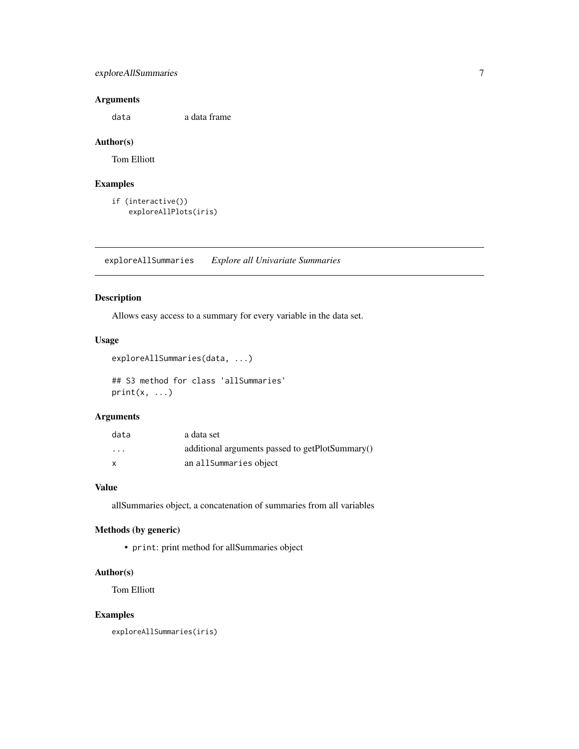# <span id="page-6-0"></span>exploreAllSummaries 7

# Arguments

data a data frame

#### Author(s)

Tom Elliott

# Examples

```
if (interactive())
    exploreAllPlots(iris)
```
exploreAllSummaries *Explore all Univariate Summaries*

## Description

Allows easy access to a summary for every variable in the data set.

# Usage

```
exploreAllSummaries(data, ...)
```
## S3 method for class 'allSummaries'  $print(x, \ldots)$ 

# Arguments

| data     | a data set                                      |
|----------|-------------------------------------------------|
| $\cdots$ | additional arguments passed to getPlotSummary() |
| X        | an allSummaries object                          |

# Value

allSummaries object, a concatenation of summaries from all variables

# Methods (by generic)

• print: print method for allSummaries object

# Author(s)

Tom Elliott

## Examples

exploreAllSummaries(iris)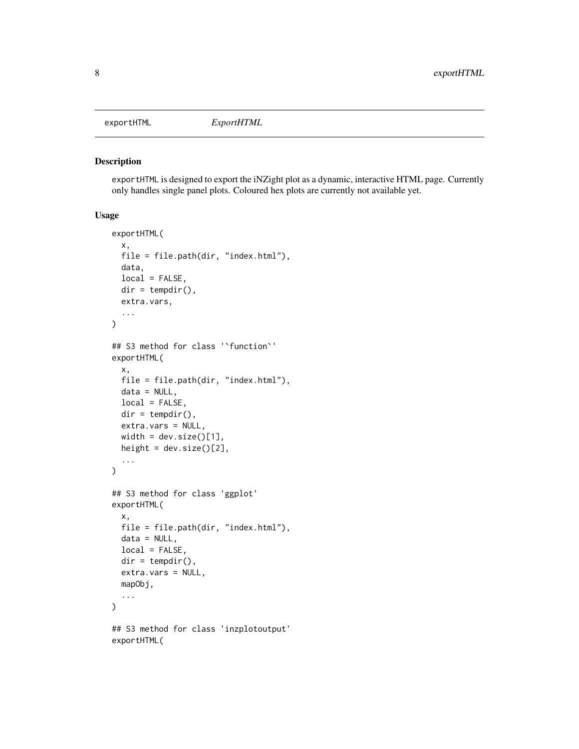<span id="page-7-0"></span>

exportHTML is designed to export the iNZight plot as a dynamic, interactive HTML page. Currently only handles single panel plots. Coloured hex plots are currently not available yet.

#### Usage

```
exportHTML(
 x,
 file = file.path(dir, "index.html"),
 data,
 local = FALSE,
 dir = tempdir(),extra.vars,
  ...
)
## S3 method for class '`function`'
exportHTML(
 x,
 file = file.path(dir, "index.html"),
 data = NULL,local = FALSE,
 dir = tempdir(),extra.vars = NULL,
 width = dev.size()[1],
 height = dev.size() [2],...
\mathcal{L}## S3 method for class 'ggplot'
exportHTML(
 x,
 file = file.path(dir, "index.html"),
 data = NULL,local = FALSE,
 dir = tempdir(),extra.vars = NULL,
 mapObj,
  ...
)
## S3 method for class 'inzplotoutput'
exportHTML(
```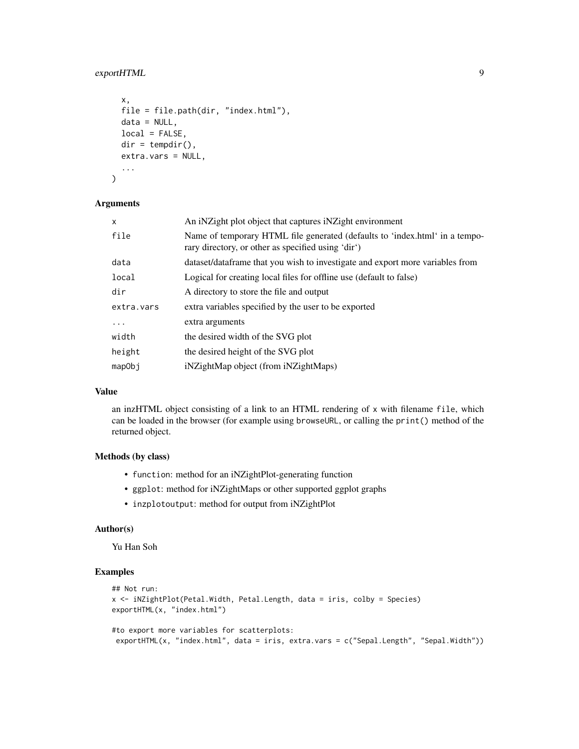# exportHTML 9

```
x,
  file = file.path(dir, "index.html"),
  data = NULL,local = FALSE,
  dir = tempdir(),extra.vars = NULL,
  ...
\mathcal{L}
```
#### Arguments

| x          | An iNZight plot object that captures iNZight environment                                                                          |
|------------|-----------------------------------------------------------------------------------------------------------------------------------|
| file       | Name of temporary HTML file generated (defaults to 'index.html' in a tempo-<br>rary directory, or other as specified using 'dir') |
| data       | dataset/dataframe that you wish to investigate and export more variables from                                                     |
| local      | Logical for creating local files for offline use (default to false)                                                               |
| dir        | A directory to store the file and output                                                                                          |
| extra.vars | extra variables specified by the user to be exported                                                                              |
| .          | extra arguments                                                                                                                   |
| width      | the desired width of the SVG plot                                                                                                 |
| height     | the desired height of the SVG plot                                                                                                |
| mapObj     | iNZightMap object (from iNZightMaps)                                                                                              |
|            |                                                                                                                                   |

#### Value

an inzHTML object consisting of a link to an HTML rendering of x with filename file, which can be loaded in the browser (for example using browseURL, or calling the print() method of the returned object.

#### Methods (by class)

- function: method for an iNZightPlot-generating function
- ggplot: method for iNZightMaps or other supported ggplot graphs
- inzplotoutput: method for output from iNZightPlot

#### Author(s)

Yu Han Soh

# Examples

```
## Not run:
x <- iNZightPlot(Petal.Width, Petal.Length, data = iris, colby = Species)
exportHTML(x, "index.html")
#to export more variables for scatterplots:
exportHTML(x, "index.html", data = iris, extra.vars = c("Sepal.Length", "Sepal.Width"))
```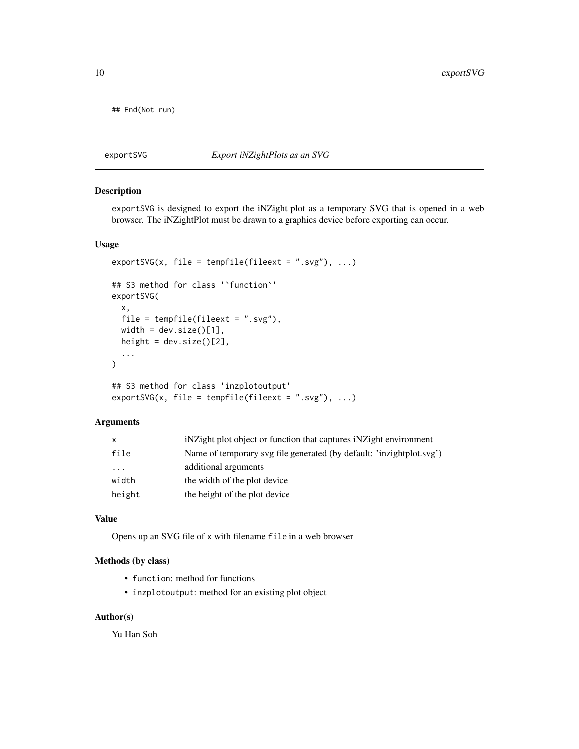<span id="page-9-0"></span>## End(Not run)

exportSVG *Export iNZightPlots as an SVG*

# Description

exportSVG is designed to export the iNZight plot as a temporary SVG that is opened in a web browser. The iNZightPlot must be drawn to a graphics device before exporting can occur.

#### Usage

```
exportSVG(x, file = tempfile(fileext = ".svg"), \dots)
## S3 method for class '`function`'
exportSVG(
 x,
 file = tempfile(fileext = ".svg"),
 width = dev.size()[1],
 height = dev.size() [2],
  ...
\mathcal{L}## S3 method for class 'inzplotoutput'
exportsVG(x, file = template(fileext = ".svg"), ...)
```
# Arguments

| x                       | in interest in a interest in the explorer in interest in the interest in interest in the interest in interest in the interest in the interest in the interest in the interest in the interest in the interest in the interest |
|-------------------------|-------------------------------------------------------------------------------------------------------------------------------------------------------------------------------------------------------------------------------|
| file                    | Name of temporary svg file generated (by default: 'inzightplot.svg')                                                                                                                                                          |
| $\cdot$ $\cdot$ $\cdot$ | additional arguments                                                                                                                                                                                                          |
| width                   | the width of the plot device                                                                                                                                                                                                  |
| height                  | the height of the plot device                                                                                                                                                                                                 |

### Value

Opens up an SVG file of x with filename file in a web browser

# Methods (by class)

- function: method for functions
- inzplotoutput: method for an existing plot object

#### Author(s)

Yu Han Soh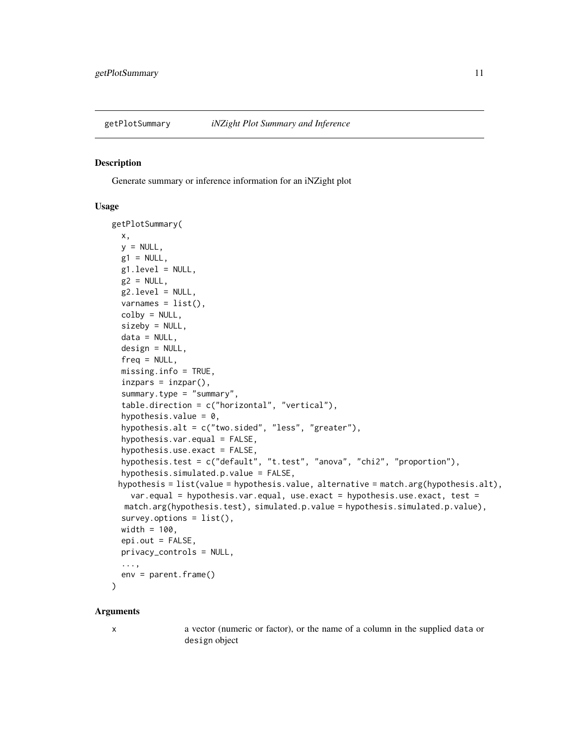<span id="page-10-0"></span>

Generate summary or inference information for an iNZight plot

#### Usage

```
getPlotSummary(
 x,
 y = NULL,g1 = NULL,g1.level = NULL,
 g2 = NULL,g2.level = NULL,varnames = list(),
  colby = NULL,
  sizeby = NULL,
  data = NULL,design = NULL,
  freq = NULL,missing.info = TRUE,
  inzpars = inzpar(),
  summary.type = "summary",
  table.direction = c("horizontal", "vertical"),
  hypothesis.value = 0,
  hypothesis.alt = c("two.sided", "less", "greater"),
  hypothesis.var.equals = FALSE,hypothesis.use.exact = FALSE,
  hypothesis.test = c("default", "t.test", "anova", "chi2", "proportion"),
  hypothesis.simulated.p.value = FALSE,
 hypothesis = list(value = hypothesis.value, alternative = match.arg(hypothesis.alt),
    var.equal = hypothesis.var.equal, use.exact = hypothesis.use.exact, test =
  match.arg(hypothesis.test), simulated.p.value = hypothesis.simulated.p.value),
  survey.options = list(),
 width = 100,
 epi.out = FALSE,privacy_controls = NULL,
  ...,
 env = parent.frame()
)
```
#### Arguments

x a vector (numeric or factor), or the name of a column in the supplied data or design object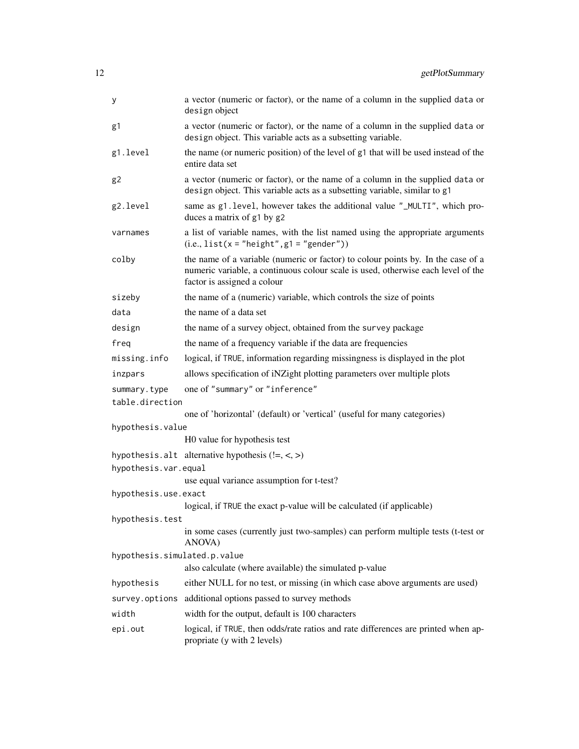| У                                                                                      | a vector (numeric or factor), or the name of a column in the supplied data or<br>design object                                                                                                      |  |
|----------------------------------------------------------------------------------------|-----------------------------------------------------------------------------------------------------------------------------------------------------------------------------------------------------|--|
| g1                                                                                     | a vector (numeric or factor), or the name of a column in the supplied data or<br>design object. This variable acts as a subsetting variable.                                                        |  |
| g1.level                                                                               | the name (or numeric position) of the level of g1 that will be used instead of the<br>entire data set                                                                                               |  |
| g <sub>2</sub>                                                                         | a vector (numeric or factor), or the name of a column in the supplied data or<br>design object. This variable acts as a subsetting variable, similar to g1                                          |  |
| g2.level                                                                               | same as g1. level, however takes the additional value "_MULTI", which pro-<br>duces a matrix of g1 by g2                                                                                            |  |
| varnames                                                                               | a list of variable names, with the list named using the appropriate arguments<br>$(i.e., list(x = "height", g1 = "gender"))$                                                                        |  |
| colby                                                                                  | the name of a variable (numeric or factor) to colour points by. In the case of a<br>numeric variable, a continuous colour scale is used, otherwise each level of the<br>factor is assigned a colour |  |
| sizeby                                                                                 | the name of a (numeric) variable, which controls the size of points                                                                                                                                 |  |
| data                                                                                   | the name of a data set                                                                                                                                                                              |  |
| design                                                                                 | the name of a survey object, obtained from the survey package                                                                                                                                       |  |
| freq                                                                                   | the name of a frequency variable if the data are frequencies                                                                                                                                        |  |
| missing.info                                                                           | logical, if TRUE, information regarding missingness is displayed in the plot                                                                                                                        |  |
| inzpars                                                                                | allows specification of iNZight plotting parameters over multiple plots                                                                                                                             |  |
| summary.type<br>table.direction                                                        | one of "summary" or "inference"                                                                                                                                                                     |  |
|                                                                                        | one of 'horizontal' (default) or 'vertical' (useful for many categories)                                                                                                                            |  |
| hypothesis.value                                                                       |                                                                                                                                                                                                     |  |
|                                                                                        | H0 value for hypothesis test                                                                                                                                                                        |  |
| hypothesis.var.equal                                                                   | hypothesis.alt alternative hypothesis $(!=, <, >)$                                                                                                                                                  |  |
|                                                                                        | use equal variance assumption for t-test?                                                                                                                                                           |  |
| hypothesis.use.exact                                                                   |                                                                                                                                                                                                     |  |
|                                                                                        | logical, if TRUE the exact p-value will be calculated (if applicable)                                                                                                                               |  |
| hypothesis.test                                                                        |                                                                                                                                                                                                     |  |
|                                                                                        | in some cases (currently just two-samples) can perform multiple tests (t-test or<br>ANOVA)                                                                                                          |  |
| hypothesis.simulated.p.value<br>also calculate (where available) the simulated p-value |                                                                                                                                                                                                     |  |
| hypothesis                                                                             | either NULL for no test, or missing (in which case above arguments are used)                                                                                                                        |  |
| survey.options                                                                         | additional options passed to survey methods                                                                                                                                                         |  |
| width                                                                                  | width for the output, default is 100 characters                                                                                                                                                     |  |
| epi.out                                                                                | logical, if TRUE, then odds/rate ratios and rate differences are printed when ap-<br>propriate (y with 2 levels)                                                                                    |  |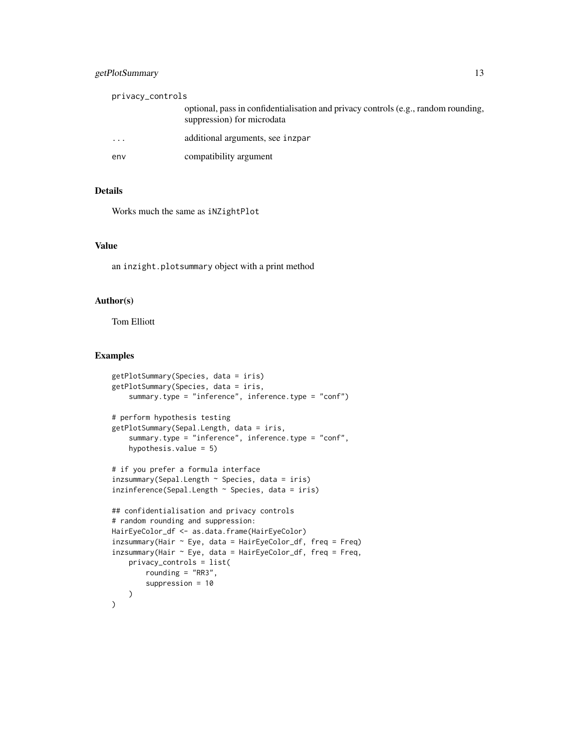# getPlotSummary 13

| privacy_controls |                                                                                                                  |
|------------------|------------------------------------------------------------------------------------------------------------------|
|                  | optional, pass in confidentialisation and privacy controls (e.g., random rounding,<br>suppression) for microdata |
| $\cdots$         | additional arguments, see inzpar                                                                                 |
| env              | compatibility argument                                                                                           |

# Details

Works much the same as iNZightPlot

# Value

an inzight.plotsummary object with a print method

#### Author(s)

Tom Elliott

# Examples

```
getPlotSummary(Species, data = iris)
getPlotSummary(Species, data = iris,
    summary.type = "inference", inference.type = "conf")
# perform hypothesis testing
getPlotSummary(Sepal.Length, data = iris,
    summary.type = "inference", inference.type = "conf",
   hypothesis.value = 5)
# if you prefer a formula interface
inzsummary(Sepal.Length ~ Species, data = iris)
inzinference(Sepal.Length ~ Species, data = iris)
## confidentialisation and privacy controls
# random rounding and suppression:
HairEyeColor_df <- as.data.frame(HairEyeColor)
inzsummary(Hair ~ Eye, data = HairEyeColor_df, freq = Freq)
inzsummary(Hair ~ Eye, data = HairEyeColor_df, freq = Freq,privacy_controls = list(
       rounding = "RR3",
       suppression = 10
   )
)
```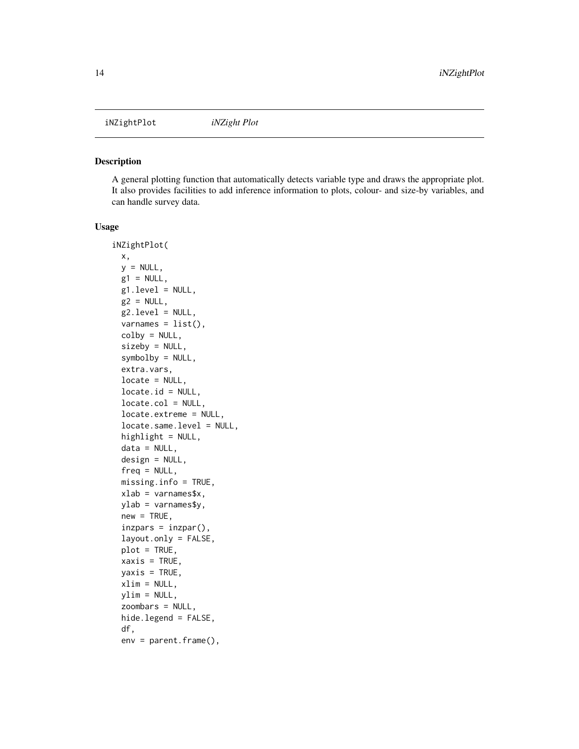<span id="page-13-1"></span><span id="page-13-0"></span>iNZightPlot *iNZight Plot*

#### Description

A general plotting function that automatically detects variable type and draws the appropriate plot. It also provides facilities to add inference information to plots, colour- and size-by variables, and can handle survey data.

#### Usage

```
iNZightPlot(
  x,
 y = NULL,g1 = NULL,g1. level = NULL,
 g2 = NULL,g2.level = NULL,varnames = list(),colby = NULL,sizeby = NULL,
  symbolby = NULL,
  extra.vars,
  locate = NULL,
  locate.id = NULL,locate.col = NULL,
  locate.extreme = NULL,
  locate.same.level = NULL,
  highlight = NULL,
  data = NULL,design = NULL,
  freq = NULL,missing.info = TRUE,
  xlab = varnames$x,
 ylab = varnames$y,
  new = TRUE,inzpars = inzpar(),
  layout.only = FALSE,
  plot = TRUE,
  xaxis = TRUE,yaxis = TRUE,
  xlim = NULL,ylim = NULL,
  zoombars = NULL,
 hide.legend = FALSE,
  df,
  env = parent.frame(),
```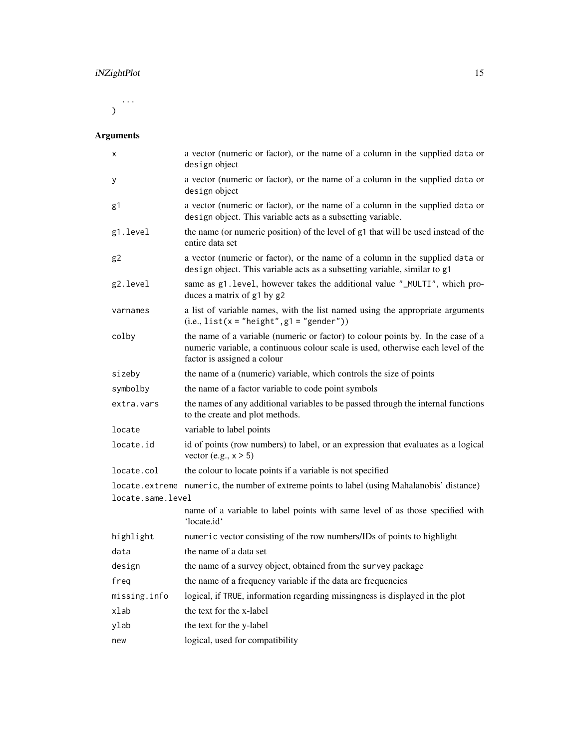...  $\mathcal{L}$ 

# Arguments

| х                 | a vector (numeric or factor), or the name of a column in the supplied data or<br>design object                                                                                                      |
|-------------------|-----------------------------------------------------------------------------------------------------------------------------------------------------------------------------------------------------|
| У                 | a vector (numeric or factor), or the name of a column in the supplied data or<br>design object                                                                                                      |
| g1                | a vector (numeric or factor), or the name of a column in the supplied data or<br>design object. This variable acts as a subsetting variable.                                                        |
| g1.level          | the name (or numeric position) of the level of g1 that will be used instead of the<br>entire data set                                                                                               |
| g <sub>2</sub>    | a vector (numeric or factor), or the name of a column in the supplied data or<br>design object. This variable acts as a subsetting variable, similar to g1                                          |
| g2.level          | same as g1.1evel, however takes the additional value "_MULTI", which pro-<br>duces a matrix of g1 by g2                                                                                             |
| varnames          | a list of variable names, with the list named using the appropriate arguments<br>$(i.e., list(x = "height", g1 = "gender"))$                                                                        |
| colby             | the name of a variable (numeric or factor) to colour points by. In the case of a<br>numeric variable, a continuous colour scale is used, otherwise each level of the<br>factor is assigned a colour |
| sizeby            | the name of a (numeric) variable, which controls the size of points                                                                                                                                 |
| symbolby          | the name of a factor variable to code point symbols                                                                                                                                                 |
| extra.vars        | the names of any additional variables to be passed through the internal functions<br>to the create and plot methods.                                                                                |
| locate            | variable to label points                                                                                                                                                                            |
| locate.id         | id of points (row numbers) to label, or an expression that evaluates as a logical<br>vector (e.g., $x > 5$ )                                                                                        |
| locate.col        | the colour to locate points if a variable is not specified                                                                                                                                          |
| locate.same.level | locate.extreme numeric, the number of extreme points to label (using Mahalanobis' distance)                                                                                                         |
|                   | name of a variable to label points with same level of as those specified with<br>'locate.id'                                                                                                        |
| highlight         | numeric vector consisting of the row numbers/IDs of points to highlight                                                                                                                             |
| data              | the name of a data set                                                                                                                                                                              |
| design            | the name of a survey object, obtained from the survey package                                                                                                                                       |
| freq              | the name of a frequency variable if the data are frequencies                                                                                                                                        |
| missing.info      | logical, if TRUE, information regarding missingness is displayed in the plot                                                                                                                        |
| xlab              | the text for the x-label                                                                                                                                                                            |
| ylab              | the text for the y-label                                                                                                                                                                            |
| new               | logical, used for compatibility                                                                                                                                                                     |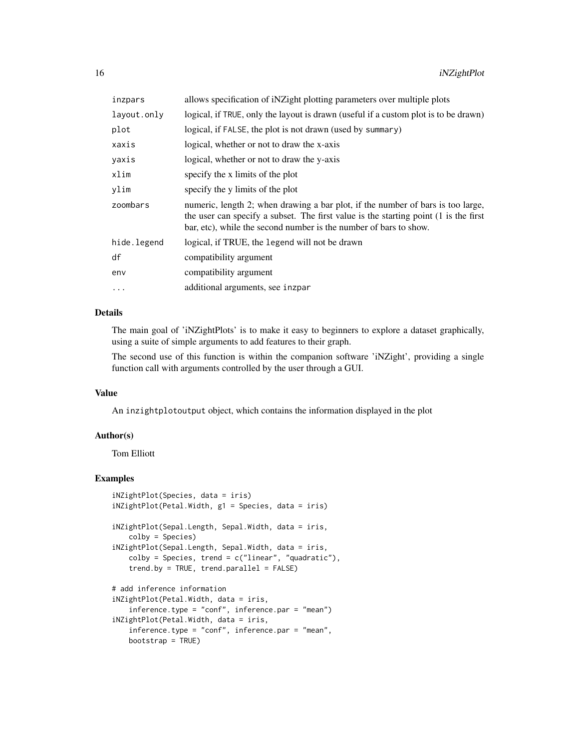| inzpars     | allows specification of iNZight plotting parameters over multiple plots                                                                                                                                                                      |
|-------------|----------------------------------------------------------------------------------------------------------------------------------------------------------------------------------------------------------------------------------------------|
| layout.only | logical, if TRUE, only the layout is drawn (useful if a custom plot is to be drawn)                                                                                                                                                          |
| plot        | logical, if FALSE, the plot is not drawn (used by summary)                                                                                                                                                                                   |
| xaxis       | logical, whether or not to draw the x-axis                                                                                                                                                                                                   |
| yaxis       | logical, whether or not to draw the y-axis                                                                                                                                                                                                   |
| xlim        | specify the x limits of the plot                                                                                                                                                                                                             |
| vlim        | specify the y limits of the plot                                                                                                                                                                                                             |
| zoombars    | numeric, length 2; when drawing a bar plot, if the number of bars is too large,<br>the user can specify a subset. The first value is the starting point (1 is the first<br>bar, etc), while the second number is the number of bars to show. |
| hide.legend | logical, if TRUE, the legend will not be drawn                                                                                                                                                                                               |
| df          | compatibility argument                                                                                                                                                                                                                       |
| env         | compatibility argument                                                                                                                                                                                                                       |
| $\ddots$ .  | additional arguments, see inzpar                                                                                                                                                                                                             |
|             |                                                                                                                                                                                                                                              |

# Details

The main goal of 'iNZightPlots' is to make it easy to beginners to explore a dataset graphically, using a suite of simple arguments to add features to their graph.

The second use of this function is within the companion software 'iNZight', providing a single function call with arguments controlled by the user through a GUI.

#### Value

An inzightplotoutput object, which contains the information displayed in the plot

#### Author(s)

Tom Elliott

bootstrap = TRUE)

# Examples

```
iNZightPlot(Species, data = iris)
iNZightPlot(Petal.Width, g1 = Species, data = iris)
iNZightPlot(Sepal.Length, Sepal.Width, data = iris,
   colby = Species)
iNZightPlot(Sepal.Length, Sepal.Width, data = iris,
   colby = Species, trend = c("linear", "quadratic"),trend.by = TRUE, trend.parallel = FALSE)
# add inference information
iNZightPlot(Petal.Width, data = iris,
    inference.type = "conf", inference.par = "mean")
iNZightPlot(Petal.Width, data = iris,
   inference.type = "conf", inference.par = "mean",
```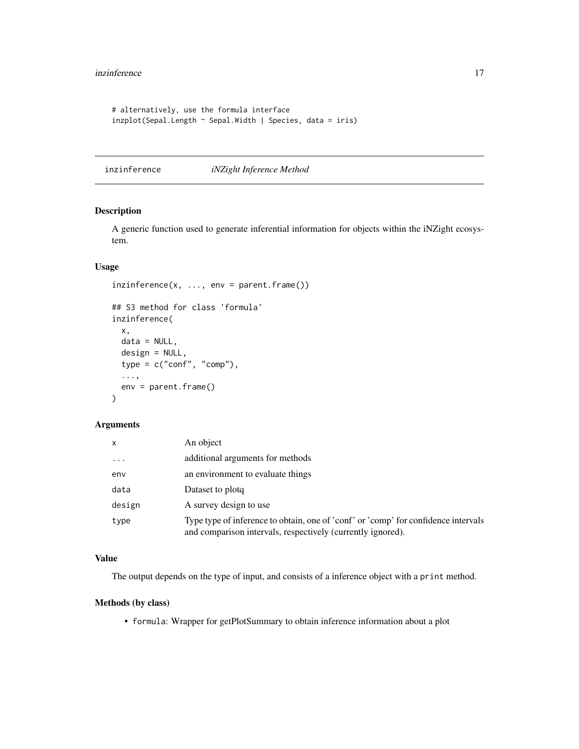```
# alternatively, use the formula interface
inzplot(Sepal.Length ~ Sepal.Width | Species, data = iris)
```
inzinference *iNZight Inference Method*

# Description

A generic function used to generate inferential information for objects within the iNZight ecosystem.

# Usage

```
inzinference(x, ..., env = parent-frame())## S3 method for class 'formula'
inzinference(
 x,
 data = NULL,
 design = NULL,
 type = c("conf", "comp"),
  ...,
 env = parent.frame()
\mathcal{L}
```
#### Arguments

| x          | An object                                                                                                                                         |
|------------|---------------------------------------------------------------------------------------------------------------------------------------------------|
| $\ddots$ . | additional arguments for methods                                                                                                                  |
| env        | an environment to evaluate things                                                                                                                 |
| data       | Dataset to plotq                                                                                                                                  |
| design     | A survey design to use                                                                                                                            |
| type       | Type type of inference to obtain, one of 'conf' or 'comp' for confidence intervals<br>and comparison intervals, respectively (currently ignored). |

# Value

The output depends on the type of input, and consists of a inference object with a print method.

# Methods (by class)

• formula: Wrapper for getPlotSummary to obtain inference information about a plot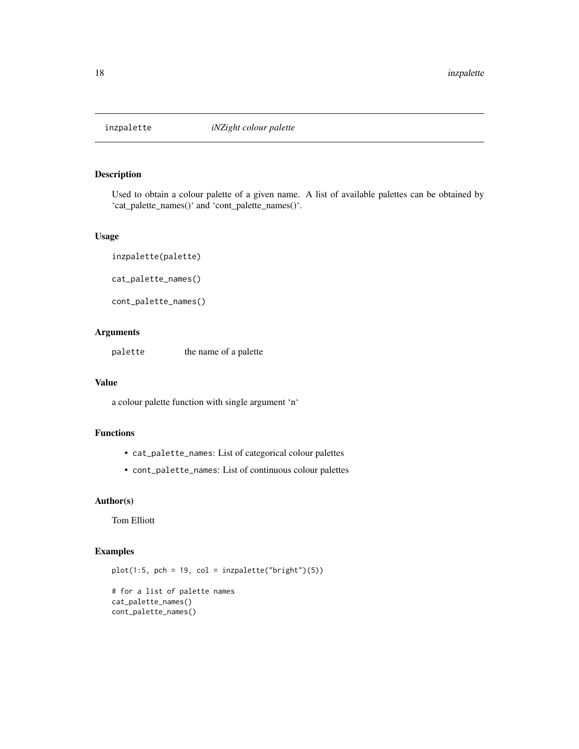<span id="page-17-1"></span><span id="page-17-0"></span>

Used to obtain a colour palette of a given name. A list of available palettes can be obtained by 'cat\_palette\_names()' and 'cont\_palette\_names()'.

#### Usage

inzpalette(palette) cat\_palette\_names() cont\_palette\_names()

# Arguments

palette the name of a palette

#### Value

a colour palette function with single argument 'n'

# Functions

- cat\_palette\_names: List of categorical colour palettes
- cont\_palette\_names: List of continuous colour palettes

#### Author(s)

Tom Elliott

# Examples

 $plot(1:5, pch = 19, col = inzpalette("bright") (5))$ 

# for a list of palette names cat\_palette\_names() cont\_palette\_names()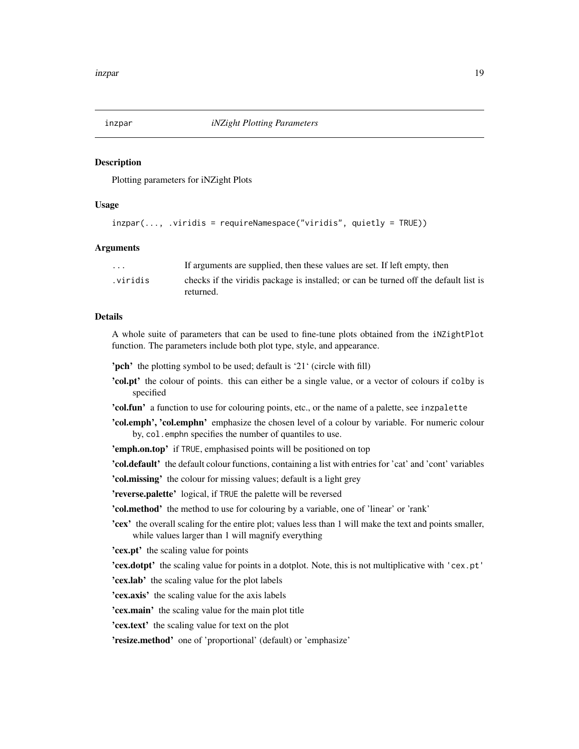<span id="page-18-0"></span>

Plotting parameters for iNZight Plots

#### Usage

```
inzpar(..., .viridis = requireNamespace("viridis", quietly = TRUE))
```
#### Arguments

| $\cdot$ $\cdot$ $\cdot$ | If arguments are supplied, then these values are set. If left empty, then                         |
|-------------------------|---------------------------------------------------------------------------------------------------|
| .viridis                | checks if the viridis package is installed; or can be turned off the default list is<br>returned. |
|                         |                                                                                                   |

#### Details

A whole suite of parameters that can be used to fine-tune plots obtained from the iNZightPlot function. The parameters include both plot type, style, and appearance.

'pch' the plotting symbol to be used; default is '21' (circle with fill)

- 'col.pt' the colour of points. this can either be a single value, or a vector of colours if colby is specified
- 'col.fun' a function to use for colouring points, etc., or the name of a palette, see inzpalette
- 'col.emph', 'col.emphn' emphasize the chosen level of a colour by variable. For numeric colour by, col.emphn specifies the number of quantiles to use.
- 'emph.on.top' if TRUE, emphasised points will be positioned on top

'col.default' the default colour functions, containing a list with entries for 'cat' and 'cont' variables

'col.missing' the colour for missing values; default is a light grey

'reverse.palette' logical, if TRUE the palette will be reversed

'col.method' the method to use for colouring by a variable, one of 'linear' or 'rank'

'cex' the overall scaling for the entire plot; values less than 1 will make the text and points smaller, while values larger than 1 will magnify everything

'cex.pt' the scaling value for points

'cex.dotpt' the scaling value for points in a dotplot. Note, this is not multiplicative with 'cex.pt'

'cex.lab' the scaling value for the plot labels

'cex.axis' the scaling value for the axis labels

'cex.main' the scaling value for the main plot title

'cex.text' the scaling value for text on the plot

'resize.method' one of 'proportional' (default) or 'emphasize'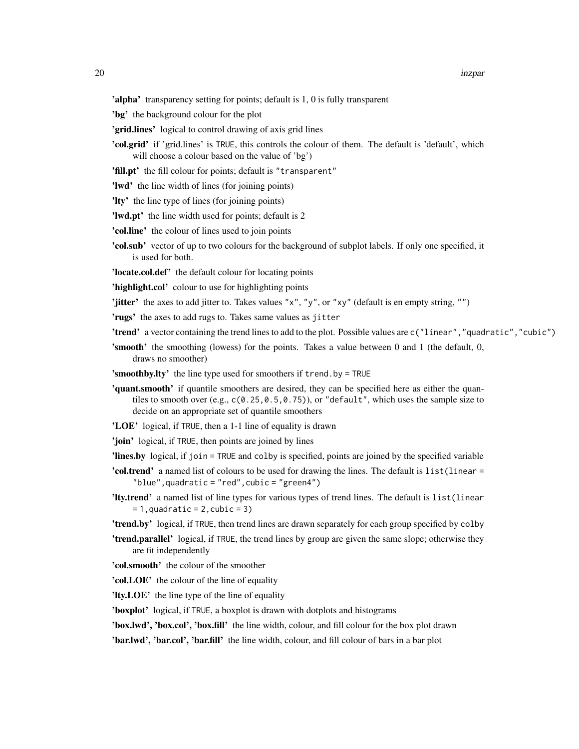'alpha' transparency setting for points; default is 1, 0 is fully transparent

- 'bg' the background colour for the plot
- 'grid.lines' logical to control drawing of axis grid lines
- 'col.grid' if 'grid.lines' is TRUE, this controls the colour of them. The default is 'default', which will choose a colour based on the value of 'bg')
- 'fill.pt' the fill colour for points; default is "transparent"
- 'lwd' the line width of lines (for joining points)
- 'lty' the line type of lines (for joining points)
- 'lwd.pt' the line width used for points; default is 2
- 'col.line' the colour of lines used to join points
- 'col.sub' vector of up to two colours for the background of subplot labels. If only one specified, it is used for both.
- 'locate.col.def' the default colour for locating points
- 'highlight.col' colour to use for highlighting points
- 'jitter' the axes to add jitter to. Takes values " $x''$ , " $y''$ , or " $xy''$  (default is en empty string, "")

'rugs' the axes to add rugs to. Takes same values as jitter

- 'trend' a vector containing the trend lines to add to the plot. Possible values are c("linear","quadratic","cubic")
- 'smooth' the smoothing (lowess) for the points. Takes a value between 0 and 1 (the default, 0, draws no smoother)
- 'smoothby.lty' the line type used for smoothers if trend.by = TRUE
- 'quant.smooth' if quantile smoothers are desired, they can be specified here as either the quantiles to smooth over (e.g., c(0.25,0.5,0.75)), or "default", which uses the sample size to decide on an appropriate set of quantile smoothers
- 'LOE' logical, if TRUE, then a 1-1 line of equality is drawn
- 'join' logical, if TRUE, then points are joined by lines
- 'lines.by logical, if join = TRUE and colby is specified, points are joined by the specified variable
- 'col.trend' a named list of colours to be used for drawing the lines. The default is list(linear = "blue",quadratic = "red",cubic = "green4")
- 'lty.trend' a named list of line types for various types of trend lines. The default is list(linear  $= 1$ , quadratic = 2, cubic = 3)
- 'trend.by' logical, if TRUE, then trend lines are drawn separately for each group specified by colby
- 'trend.parallel' logical, if TRUE, the trend lines by group are given the same slope; otherwise they are fit independently
- 'col.smooth' the colour of the smoother
- 'col.LOE' the colour of the line of equality
- 'lty.LOE' the line type of the line of equality

'boxplot' logical, if TRUE, a boxplot is drawn with dotplots and histograms

'box.lwd', 'box.col', 'box.fill' the line width, colour, and fill colour for the box plot drawn

'bar.lwd', 'bar.col', 'bar.fill' the line width, colour, and fill colour of bars in a bar plot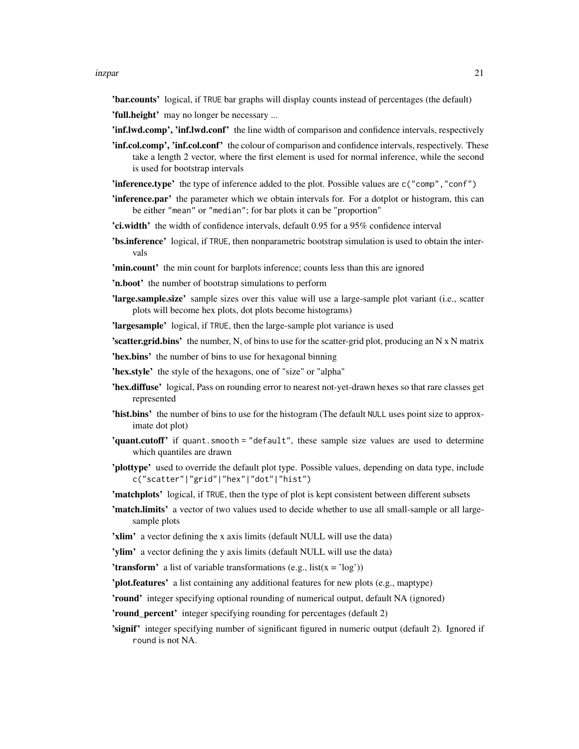#### inzpar 21

'bar.counts' logical, if TRUE bar graphs will display counts instead of percentages (the default)

'full.height' may no longer be necessary ...

'inf.lwd.comp', 'inf.lwd.conf' the line width of comparison and confidence intervals, respectively

- 'inf.col.comp', 'inf.col.conf' the colour of comparison and confidence intervals, respectively. These take a length 2 vector, where the first element is used for normal inference, while the second is used for bootstrap intervals
- 'inference.type' the type of inference added to the plot. Possible values are c("comp","conf")
- **'inference.par'** the parameter which we obtain intervals for. For a dotplot or histogram, this can be either "mean" or "median"; for bar plots it can be "proportion"
- 'ci.width' the width of confidence intervals, default 0.95 for a 95% confidence interval
- 'bs.inference' logical, if TRUE, then nonparametric bootstrap simulation is used to obtain the intervals

'min.count' the min count for barplots inference; counts less than this are ignored

- 'n.boot' the number of bootstrap simulations to perform
- **'large.sample.size'** sample sizes over this value will use a large-sample plot variant (i.e., scatter plots will become hex plots, dot plots become histograms)

'largesample' logical, if TRUE, then the large-sample plot variance is used

**'scatter.grid.bins'** the number, N, of bins to use for the scatter-grid plot, producing an N  $\bar{x}$  N matrix

'hex.bins' the number of bins to use for hexagonal binning

- 'hex.style' the style of the hexagons, one of "size" or "alpha"
- 'hex.diffuse' logical, Pass on rounding error to nearest not-yet-drawn hexes so that rare classes get represented
- 'hist.bins' the number of bins to use for the histogram (The default NULL uses point size to approximate dot plot)
- 'quant.cutoff' if quant.smooth = "default", these sample size values are used to determine which quantiles are drawn
- 'plottype' used to override the default plot type. Possible values, depending on data type, include c("scatter"|"grid"|"hex"|"dot"|"hist")
- 'matchplots' logical, if TRUE, then the type of plot is kept consistent between different subsets
- 'match.limits' a vector of two values used to decide whether to use all small-sample or all largesample plots
- 'xlim' a vector defining the x axis limits (default NULL will use the data)

'ylim' a vector defining the y axis limits (default NULL will use the data)

'transform' a list of variable transformations (e.g.,  $list(x = 'log'))$ )

'plot.features' a list containing any additional features for new plots (e.g., maptype)

'round' integer specifying optional rounding of numerical output, default NA (ignored)

'round\_percent' integer specifying rounding for percentages (default 2)

'signif' integer specifying number of significant figured in numeric output (default 2). Ignored if round is not NA.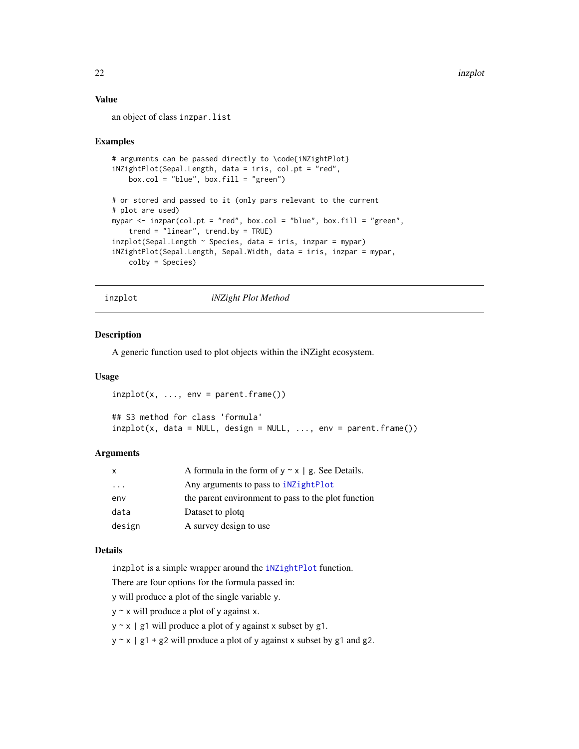# <span id="page-21-0"></span>Value

an object of class inzpar.list

#### Examples

```
# arguments can be passed directly to \code{iNZightPlot}
iNZightPlot(Sepal.Length, data = iris, col.pt = "red",
   box.col = "blue", box.fill = "green")# or stored and passed to it (only pars relevant to the current
# plot are used)
mypar <- inzpar(col.pt = "red", box.col = "blue", box.fill = "green",
    trend = "linear", trend.by = TRUE)
inzplot(Sepal.length ~ Species, data = iris, inzpar = mypar)iNZightPlot(Sepal.Length, Sepal.Width, data = iris, inzpar = mypar,
    colby = Species)
```
inzplot *iNZight Plot Method*

#### Description

A generic function used to plot objects within the iNZight ecosystem.

#### Usage

```
inzplot(x, ..., env = parent-frame())
```
## S3 method for class 'formula'  $inzplot(x, data = NULL, design = NULL, ..., env = parent-frame())$ 

#### Arguments

| x                       | A formula in the form of $y \sim x \mid g$ . See Details. |
|-------------------------|-----------------------------------------------------------|
| $\cdot$ $\cdot$ $\cdot$ | Any arguments to pass to <b>indum</b>                     |
| env                     | the parent environment to pass to the plot function       |
| data                    | Dataset to plotg                                          |
| design                  | A survey design to use                                    |

#### Details

inzplot is a simple wrapper around the [iNZightPlot](#page-13-1) function.

There are four options for the formula passed in:

y will produce a plot of the single variable y.

 $y \sim x$  will produce a plot of y against x.

 $y \sim x$  | g1 will produce a plot of y against x subset by g1.

 $y \sim x$  | g1 + g2 will produce a plot of y against x subset by g1 and g2.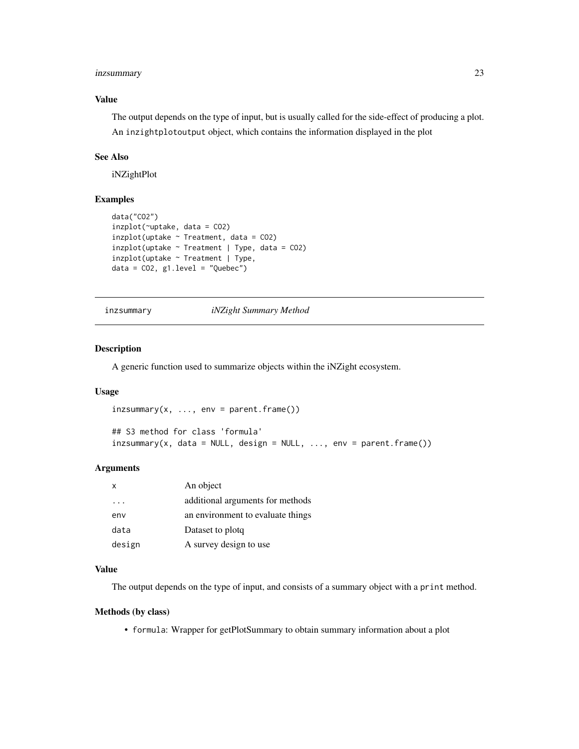## <span id="page-22-0"></span>inzsummary 23

# Value

The output depends on the type of input, but is usually called for the side-effect of producing a plot. An inzightplotoutput object, which contains the information displayed in the plot

# See Also

iNZightPlot

#### Examples

```
data("CO2")
inzplot(~uptake, data = CO2)
inzplot(uptake ~ Treatment, data = CO2)inzplot(uptake ~ Treatment ~ | Type, data = CO2)inzplot(uptake ~ Treatment | Type,
data = CO2, g1. level = "Quebec")
```
# inzsummary *iNZight Summary Method*

# Description

A generic function used to summarize objects within the iNZight ecosystem.

#### Usage

```
inzsummary(x, ..., env = parent-frame())## S3 method for class 'formula'
inzsummary(x, data = NULL, design = NULL, ..., env = parent-frame())
```
# Arguments

| x      | An object                         |
|--------|-----------------------------------|
| .      | additional arguments for methods  |
| env    | an environment to evaluate things |
| data   | Dataset to plotq                  |
| design | A survey design to use            |

#### Value

The output depends on the type of input, and consists of a summary object with a print method.

#### Methods (by class)

• formula: Wrapper for getPlotSummary to obtain summary information about a plot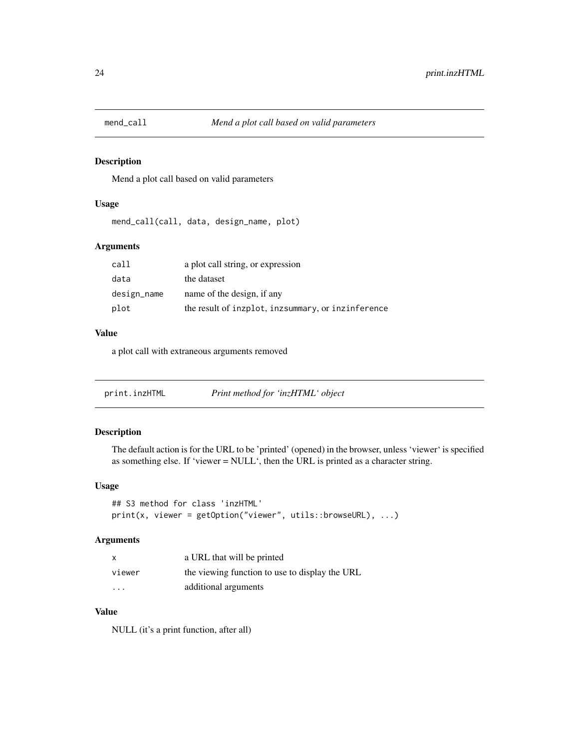<span id="page-23-0"></span>

Mend a plot call based on valid parameters

#### Usage

mend\_call(call, data, design\_name, plot)

# Arguments

| call        | a plot call string, or expression                  |
|-------------|----------------------------------------------------|
| data        | the dataset                                        |
| design_name | name of the design, if any                         |
| plot        | the result of inzplot, inzsummary, or inzinference |

# Value

a plot call with extraneous arguments removed

| print.inzHTML | Print method for 'inzHTML' object |
|---------------|-----------------------------------|
|               |                                   |

# Description

The default action is for the URL to be 'printed' (opened) in the browser, unless 'viewer' is specified as something else. If 'viewer = NULL', then the URL is printed as a character string.

## Usage

```
## S3 method for class 'inzHTML'
print(x, viewer = getOption("viewer", utils::browseURL), ...)
```
#### Arguments

| X        | a URL that will be printed                     |
|----------|------------------------------------------------|
| viewer   | the viewing function to use to display the URL |
| $\cdots$ | additional arguments                           |

#### Value

NULL (it's a print function, after all)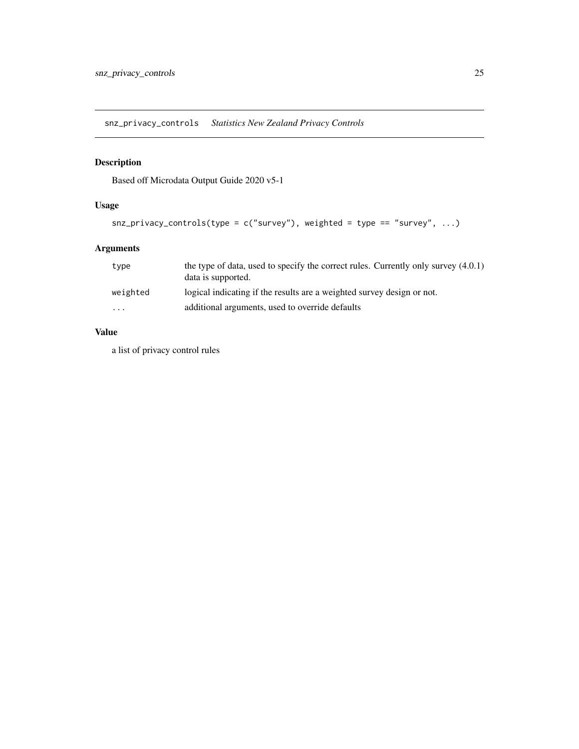<span id="page-24-0"></span>snz\_privacy\_controls *Statistics New Zealand Privacy Controls*

# Description

Based off Microdata Output Guide 2020 v5-1

# Usage

```
snz_privacy_controls(type = c("survey"), weighted = type == "survey", ...)
```
# Arguments

| type                    | the type of data, used to specify the correct rules. Currently only survey $(4.0.1)$<br>data is supported. |
|-------------------------|------------------------------------------------------------------------------------------------------------|
| weighted                | logical indicating if the results are a weighted survey design or not.                                     |
| $\cdot$ $\cdot$ $\cdot$ | additional arguments, used to override defaults                                                            |

### Value

a list of privacy control rules